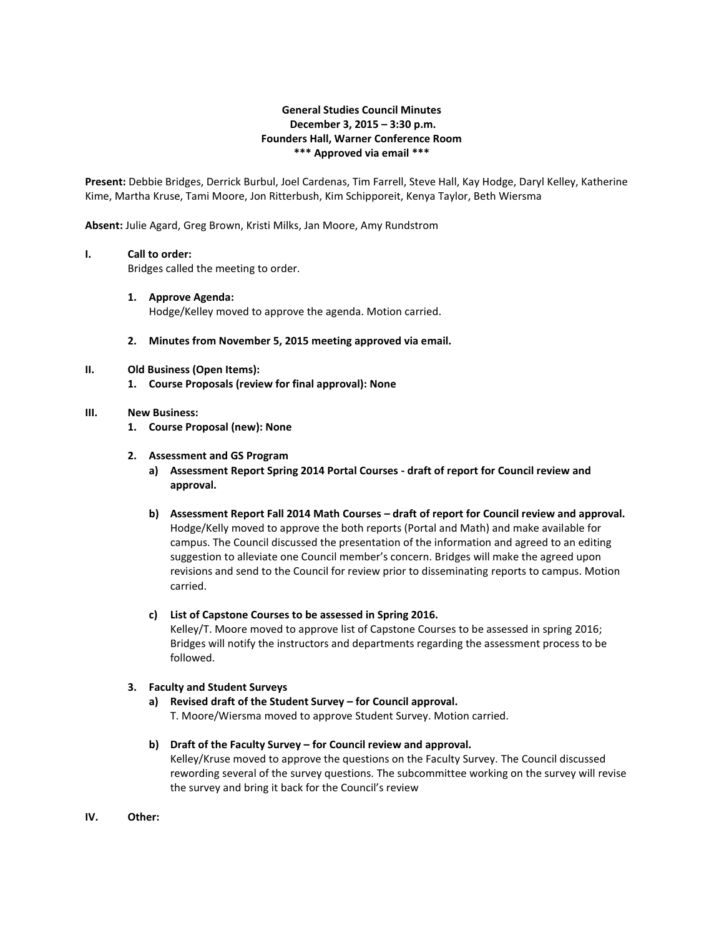# **General Studies Council Minutes December 3, 2015 – 3:30 p.m. Founders Hall, Warner Conference Room \*\*\* Approved via email \*\*\***

**Present:** Debbie Bridges, Derrick Burbul, Joel Cardenas, Tim Farrell, Steve Hall, Kay Hodge, Daryl Kelley, Katherine Kime, Martha Kruse, Tami Moore, Jon Ritterbush, Kim Schipporeit, Kenya Taylor, Beth Wiersma

**Absent:** Julie Agard, Greg Brown, Kristi Milks, Jan Moore, Amy Rundstrom

### **I. Call to order:**

Bridges called the meeting to order.

#### **1. Approve Agenda:**

Hodge/Kelley moved to approve the agenda. Motion carried.

**2. Minutes from November 5, 2015 meeting approved via email.**

### **II. Old Business (Open Items):**

**1. Course Proposals (review for final approval): None**

### **III. New Business:**

**1. Course Proposal (new): None**

### **2. Assessment and GS Program**

- **a) Assessment Report Spring 2014 Portal Courses - draft of report for Council review and approval.**
- **b) Assessment Report Fall 2014 Math Courses – draft of report for Council review and approval.** Hodge/Kelly moved to approve the both reports (Portal and Math) and make available for campus. The Council discussed the presentation of the information and agreed to an editing suggestion to alleviate one Council member's concern. Bridges will make the agreed upon revisions and send to the Council for review prior to disseminating reports to campus. Motion carried.

## **c) List of Capstone Courses to be assessed in Spring 2016.**

Kelley/T. Moore moved to approve list of Capstone Courses to be assessed in spring 2016; Bridges will notify the instructors and departments regarding the assessment process to be followed.

## **3. Faculty and Student Surveys**

## **a) Revised draft of the Student Survey – for Council approval.** T. Moore/Wiersma moved to approve Student Survey. Motion carried.

#### **b) Draft of the Faculty Survey – for Council review and approval.**

Kelley/Kruse moved to approve the questions on the Faculty Survey. The Council discussed rewording several of the survey questions. The subcommittee working on the survey will revise the survey and bring it back for the Council's review

**IV. Other:**